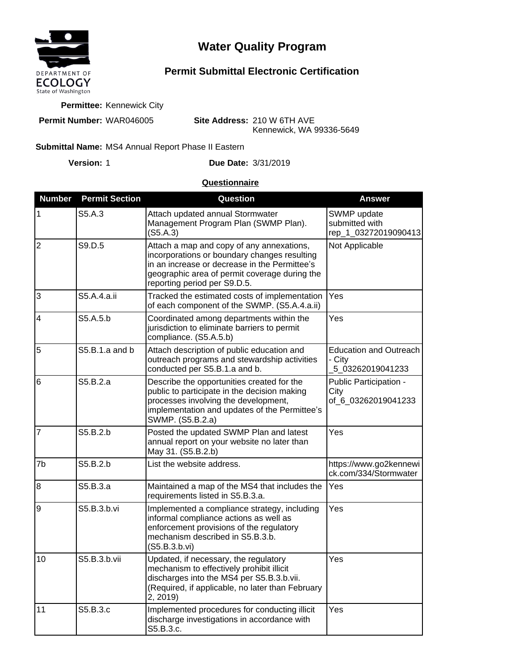

# **Water Quality Program**

## **Permit Submittal Electronic Certification**

**Permittee:** Kennewick City

**Permit Number:** WAR046005

**Site Address:** 210 W 6TH AVE Kennewick, WA 99336-5649

#### Submittal Name: MS4 Annual Report Phase II Eastern

**Version:**

1 **Due Date:** 3/31/2019

#### **Questionnaire**

| <b>Number</b>  | <b>Permit Section</b> | Question                                                                                                                                                                                                                    | <b>Answer</b>                                               |
|----------------|-----------------------|-----------------------------------------------------------------------------------------------------------------------------------------------------------------------------------------------------------------------------|-------------------------------------------------------------|
| 1              | S5.A.3                | Attach updated annual Stormwater<br>Management Program Plan (SWMP Plan).<br>(S5.A.3)                                                                                                                                        | SWMP update<br>submitted with<br>rep_1_03272019090413       |
| $\overline{2}$ | S9.D.5                | Attach a map and copy of any annexations,<br>incorporations or boundary changes resulting<br>in an increase or decrease in the Permittee's<br>geographic area of permit coverage during the<br>reporting period per S9.D.5. | Not Applicable                                              |
| 3              | S5.A.4.a.ii           | Tracked the estimated costs of implementation<br>of each component of the SWMP. (S5.A.4.a.ii)                                                                                                                               | Yes                                                         |
| $\overline{4}$ | S5.A.5.b              | Coordinated among departments within the<br>jurisdiction to eliminate barriers to permit<br>compliance. (S5.A.5.b)                                                                                                          | Yes                                                         |
| 5              | $S5.B.1.a$ and b      | Attach description of public education and<br>outreach programs and stewardship activities<br>conducted per S5.B.1.a and b.                                                                                                 | <b>Education and Outreach</b><br>- City<br>5 03262019041233 |
| 6              | S5.B.2.a              | Describe the opportunities created for the<br>public to participate in the decision making<br>processes involving the development,<br>implementation and updates of the Permittee's<br>SWMP. (S5.B.2.a)                     | Public Participation -<br>City<br>of 6 03262019041233       |
| 7              | S5.B.2.b              | Posted the updated SWMP Plan and latest<br>annual report on your website no later than<br>May 31. (S5.B.2.b)                                                                                                                | Yes                                                         |
| 7b             | S5.B.2.b              | List the website address.                                                                                                                                                                                                   | https://www.go2kennewi<br>ck.com/334/Stormwater             |
| $\overline{8}$ | S5.B.3.a              | Maintained a map of the MS4 that includes the<br>requirements listed in S5.B.3.a.                                                                                                                                           | Yes                                                         |
| l9             | S5.B.3.b.vi           | Implemented a compliance strategy, including<br>informal compliance actions as well as<br>enforcement provisions of the regulatory<br>mechanism described in S5.B.3.b.<br>(S5.B.3.b.vi)                                     | Yes                                                         |
| 10             | S5.B.3.b.vii          | Updated, if necessary, the regulatory<br>mechanism to effectively prohibit illicit<br>discharges into the MS4 per S5.B.3.b.vii.<br>(Required, if applicable, no later than February<br>2, 2019)                             | Yes                                                         |
| 11             | S5.B.3.c              | Implemented procedures for conducting illicit<br>discharge investigations in accordance with<br>S5.B.3.c.                                                                                                                   | Yes                                                         |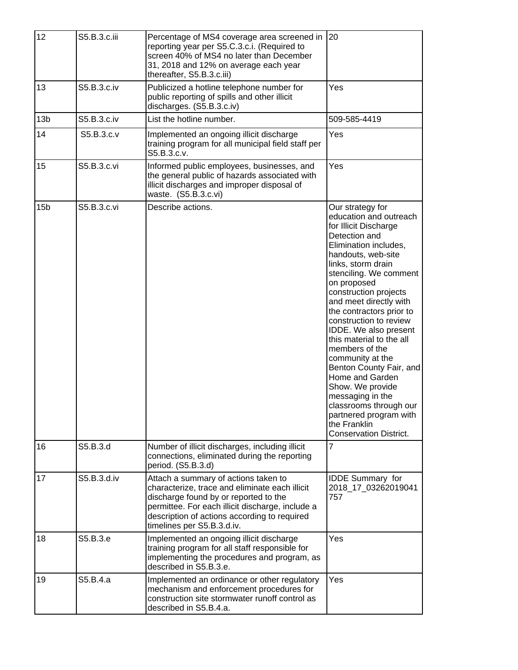| 12              | S5.B.3.c.iii | Percentage of MS4 coverage area screened in<br>reporting year per S5.C.3.c.i. (Required to<br>screen 40% of MS4 no later than December<br>31, 2018 and 12% on average each year<br>thereafter, S5.B.3.c.iii)                                                      | 20                                                                                                                                                                                                                                                                                                                                                                                                                                                                                                                                                                                                |
|-----------------|--------------|-------------------------------------------------------------------------------------------------------------------------------------------------------------------------------------------------------------------------------------------------------------------|---------------------------------------------------------------------------------------------------------------------------------------------------------------------------------------------------------------------------------------------------------------------------------------------------------------------------------------------------------------------------------------------------------------------------------------------------------------------------------------------------------------------------------------------------------------------------------------------------|
| 13              | S5.B.3.c.iv  | Publicized a hotline telephone number for<br>public reporting of spills and other illicit<br>discharges. (S5.B.3.c.iv)                                                                                                                                            | Yes                                                                                                                                                                                                                                                                                                                                                                                                                                                                                                                                                                                               |
| 13 <sub>b</sub> | S5.B.3.c.iv  | List the hotline number.                                                                                                                                                                                                                                          | 509-585-4419                                                                                                                                                                                                                                                                                                                                                                                                                                                                                                                                                                                      |
| 14              | S5.B.3.c.v   | Implemented an ongoing illicit discharge<br>training program for all municipal field staff per<br>S5.B.3.c.v.                                                                                                                                                     | Yes                                                                                                                                                                                                                                                                                                                                                                                                                                                                                                                                                                                               |
| 15              | S5.B.3.c.vi  | Informed public employees, businesses, and<br>the general public of hazards associated with<br>illicit discharges and improper disposal of<br>waste. (S5.B.3.c.vi)                                                                                                | Yes                                                                                                                                                                                                                                                                                                                                                                                                                                                                                                                                                                                               |
| 15 <sub>b</sub> | S5.B.3.c.vi  | Describe actions.                                                                                                                                                                                                                                                 | Our strategy for<br>education and outreach<br>for Illicit Discharge<br>Detection and<br>Elimination includes,<br>handouts, web-site<br>links, storm drain<br>stenciling. We comment<br>on proposed<br>construction projects<br>and meet directly with<br>the contractors prior to<br>construction to review<br>IDDE. We also present<br>this material to the all<br>members of the<br>community at the<br>Benton County Fair, and<br>Home and Garden<br>Show. We provide<br>messaging in the<br>classrooms through our<br>partnered program with<br>the Franklin<br><b>Conservation District.</b> |
| 16              | S5.B.3.d     | Number of illicit discharges, including illicit<br>connections, eliminated during the reporting<br>period. (S5.B.3.d)                                                                                                                                             | 7                                                                                                                                                                                                                                                                                                                                                                                                                                                                                                                                                                                                 |
| 17              | S5.B.3.d.iv  | Attach a summary of actions taken to<br>characterize, trace and eliminate each illicit<br>discharge found by or reported to the<br>permittee. For each illicit discharge, include a<br>description of actions according to required<br>timelines per S5.B.3.d.iv. | <b>IDDE Summary for</b><br>2018_17_03262019041<br>757                                                                                                                                                                                                                                                                                                                                                                                                                                                                                                                                             |
| 18              | S5.B.3.e     | Implemented an ongoing illicit discharge<br>training program for all staff responsible for<br>implementing the procedures and program, as<br>described in S5.B.3.e.                                                                                               | Yes                                                                                                                                                                                                                                                                                                                                                                                                                                                                                                                                                                                               |
| 19              | S5.B.4.a     | Implemented an ordinance or other regulatory<br>mechanism and enforcement procedures for<br>construction site stormwater runoff control as<br>described in S5.B.4.a.                                                                                              | Yes                                                                                                                                                                                                                                                                                                                                                                                                                                                                                                                                                                                               |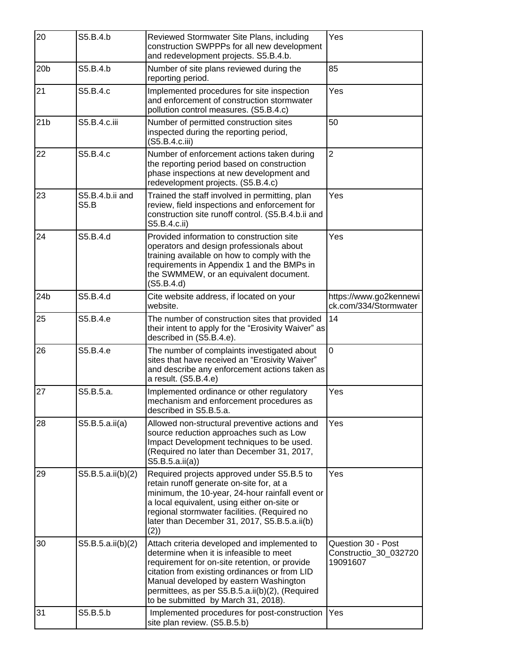| 20              | S5.B.4.b                       | Reviewed Stormwater Site Plans, including<br>construction SWPPPs for all new development<br>and redevelopment projects. S5.B.4.b.                                                                                                                                                                                             | Yes                                                     |
|-----------------|--------------------------------|-------------------------------------------------------------------------------------------------------------------------------------------------------------------------------------------------------------------------------------------------------------------------------------------------------------------------------|---------------------------------------------------------|
| 20 <sub>b</sub> | S5.B.4.b                       | Number of site plans reviewed during the<br>reporting period.                                                                                                                                                                                                                                                                 | 85                                                      |
| 21              | S5.B.4.c                       | Implemented procedures for site inspection<br>and enforcement of construction stormwater<br>pollution control measures. (S5.B.4.c)                                                                                                                                                                                            | Yes                                                     |
| 21 <sub>b</sub> | S5.B.4.c.iii                   | Number of permitted construction sites<br>inspected during the reporting period,<br>(S5.B.4.c.iii)                                                                                                                                                                                                                            | 50                                                      |
| 22              | S5.B.4.c                       | Number of enforcement actions taken during<br>the reporting period based on construction<br>phase inspections at new development and<br>redevelopment projects. (S5.B.4.c)                                                                                                                                                    | $\overline{2}$                                          |
| 23              | S5.B.4.b.ii and<br><b>S5.B</b> | Trained the staff involved in permitting, plan<br>review, field inspections and enforcement for<br>construction site runoff control. (S5.B.4.b.ii and<br>S5.B.4.c.ii)                                                                                                                                                         | Yes                                                     |
| 24              | S5.B.4.d                       | Provided information to construction site<br>operators and design professionals about<br>training available on how to comply with the<br>requirements in Appendix 1 and the BMPs in<br>the SWMMEW, or an equivalent document.<br>(S5.B.4.d)                                                                                   | Yes                                                     |
| 24 <sub>b</sub> | S5.B.4.d                       | Cite website address, if located on your<br>website.                                                                                                                                                                                                                                                                          | https://www.go2kennewi<br>ck.com/334/Stormwater         |
| 25              | S5.B.4.e                       | The number of construction sites that provided<br>their intent to apply for the "Erosivity Waiver" as<br>described in (S5.B.4.e).                                                                                                                                                                                             | 14                                                      |
| 26              | S5.B.4.e                       | The number of complaints investigated about<br>sites that have received an "Erosivity Waiver"<br>and describe any enforcement actions taken as<br>a result. (S5.B.4.e)                                                                                                                                                        | $\overline{0}$                                          |
| 27              | S5.B.5.a.                      | Implemented ordinance or other regulatory<br>mechanism and enforcement procedures as<br>described in S5.B.5.a.                                                                                                                                                                                                                | Yes                                                     |
| 28              | S5.B.5.a.ii(a)                 | Allowed non-structural preventive actions and<br>source reduction approaches such as Low<br>Impact Development techniques to be used.<br>(Required no later than December 31, 2017,<br>S5.B.5.a.ii(a)                                                                                                                         | Yes                                                     |
| 29              | S5.B.5.a.ii(b)(2)              | Required projects approved under S5.B.5 to<br>retain runoff generate on-site for, at a<br>minimum, the 10-year, 24-hour rainfall event or<br>a local equivalent, using either on-site or<br>regional stormwater facilities. (Required no<br>later than December 31, 2017, S5.B.5.a.ii(b)<br>(2)                               | Yes                                                     |
| 30              | S5.B.5.a.ii(b)(2)              | Attach criteria developed and implemented to<br>determine when it is infeasible to meet<br>requirement for on-site retention, or provide<br>citation from existing ordinances or from LID<br>Manual developed by eastern Washington<br>permittees, as per S5.B.5.a.ii(b)(2), (Required<br>to be submitted by March 31, 2018). | Question 30 - Post<br>Constructio_30_032720<br>19091607 |
| 31              | S5.B.5.b                       | Implemented procedures for post-construction<br>site plan review. (S5.B.5.b)                                                                                                                                                                                                                                                  | Yes                                                     |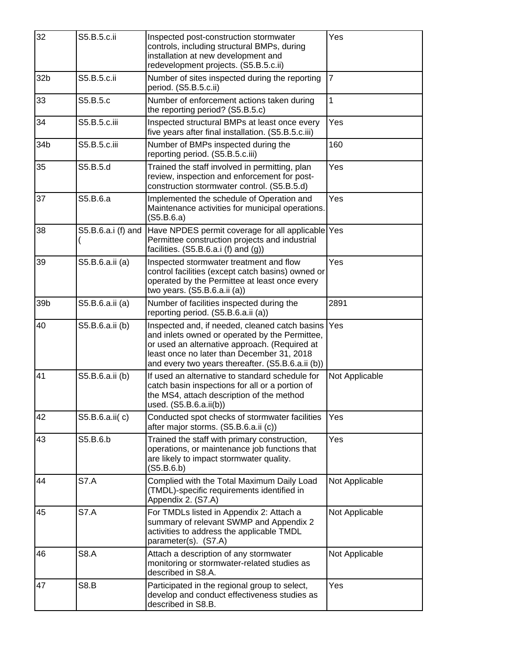| 32              | S5.B.5.c.ii        | Inspected post-construction stormwater<br>controls, including structural BMPs, during<br>installation at new development and<br>redevelopment projects. (S5.B.5.c.ii)                                                                                | Yes            |
|-----------------|--------------------|------------------------------------------------------------------------------------------------------------------------------------------------------------------------------------------------------------------------------------------------------|----------------|
| 32 <sub>b</sub> | S5.B.5.c.ii        | Number of sites inspected during the reporting<br>period. (S5.B.5.c.ii)                                                                                                                                                                              | 7              |
| 33              | S5.B.5.c           | Number of enforcement actions taken during<br>the reporting period? (S5.B.5.c)                                                                                                                                                                       | 1              |
| 34              | S5.B.5.c.iii       | Inspected structural BMPs at least once every<br>five years after final installation. (S5.B.5.c.iii)                                                                                                                                                 | Yes            |
| 34b             | S5.B.5.c.iii       | Number of BMPs inspected during the<br>reporting period. (S5.B.5.c.iii)                                                                                                                                                                              | 160            |
| 35              | S5.B.5.d           | Trained the staff involved in permitting, plan<br>review, inspection and enforcement for post-<br>construction stormwater control. (S5.B.5.d)                                                                                                        | Yes            |
| 37              | S5.B.6.a           | Implemented the schedule of Operation and<br>Maintenance activities for municipal operations.<br>(S5.B.6.a)                                                                                                                                          | Yes            |
| 38              | S5.B.6.a.i (f) and | Have NPDES permit coverage for all applicable Yes<br>Permittee construction projects and industrial<br>facilities. (S5.B.6.a.i (f) and (g))                                                                                                          |                |
| 39              | S5.B.6.a.ii (a)    | Inspected stormwater treatment and flow<br>control facilities (except catch basins) owned or<br>operated by the Permittee at least once every<br>two years. $(S5.B.6.a.ii(a))$                                                                       | Yes            |
| 39b             | S5.B.6.a.ii (a)    | Number of facilities inspected during the<br>reporting period. (S5.B.6.a.ii (a))                                                                                                                                                                     | 2891           |
| 40              | S5.B.6.a.ii (b)    | Inspected and, if needed, cleaned catch basins<br>and inlets owned or operated by the Permittee,<br>or used an alternative approach. (Required at<br>least once no later than December 31, 2018<br>and every two years thereafter. (S5.B.6.a.ii (b)) | Yes            |
| 41              | S5.B.6.a.ii (b)    | If used an alternative to standard schedule for<br>catch basin inspections for all or a portion of<br>the MS4, attach description of the method<br>used. (S5.B.6.a.ii(b))                                                                            | Not Applicable |
| 42              | S5.B.6.a.ii(c)     | Conducted spot checks of stormwater facilities<br>after major storms. (S5.B.6.a.ii (c))                                                                                                                                                              | Yes            |
| 43              | S5.B.6.b           | Trained the staff with primary construction,<br>operations, or maintenance job functions that<br>are likely to impact stormwater quality.<br>(S5.B.6.b)                                                                                              | Yes            |
| 44              | <b>S7.A</b>        | Complied with the Total Maximum Daily Load<br>(TMDL)-specific requirements identified in<br>Appendix 2. (S7.A)                                                                                                                                       | Not Applicable |
| 45              | <b>S7.A</b>        | For TMDLs listed in Appendix 2: Attach a<br>summary of relevant SWMP and Appendix 2<br>activities to address the applicable TMDL<br>parameter(s). (S7.A)                                                                                             | Not Applicable |
| 46              | <b>S8.A</b>        | Attach a description of any stormwater<br>monitoring or stormwater-related studies as<br>described in S8.A.                                                                                                                                          | Not Applicable |
| 47              | <b>S8.B</b>        | Participated in the regional group to select,<br>develop and conduct effectiveness studies as<br>described in S8.B.                                                                                                                                  | Yes            |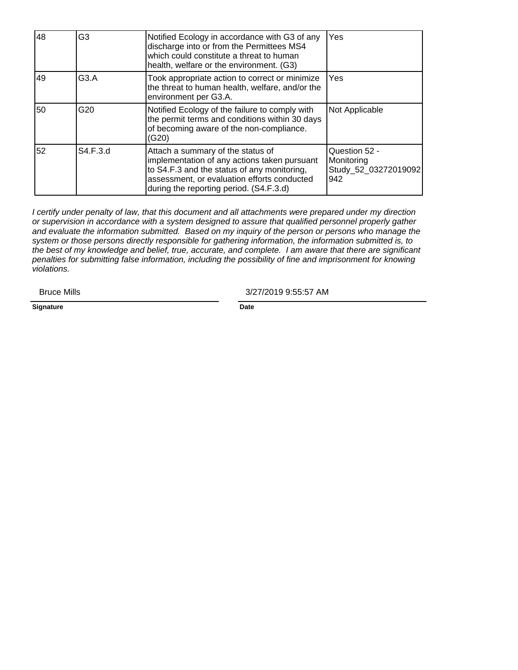| 48 | G <sub>3</sub>    | Notified Ecology in accordance with G3 of any<br>discharge into or from the Permittees MS4<br>which could constitute a threat to human<br>health, welfare or the environment. (G3)                                         | Yes                                                        |
|----|-------------------|----------------------------------------------------------------------------------------------------------------------------------------------------------------------------------------------------------------------------|------------------------------------------------------------|
| 49 | G <sub>3</sub> .A | Took appropriate action to correct or minimize<br>the threat to human health, welfare, and/or the<br>environment per G3.A.                                                                                                 | Yes                                                        |
| 50 | G <sub>20</sub>   | Notified Ecology of the failure to comply with<br>the permit terms and conditions within 30 days<br>of becoming aware of the non-compliance.<br>(G20)                                                                      | Not Applicable                                             |
| 52 | S4.F.3.d          | Attach a summary of the status of<br>implementation of any actions taken pursuant<br>to S4.F.3 and the status of any monitoring,<br>assessment, or evaluation efforts conducted<br>during the reporting period. (S4.F.3.d) | Question 52 -<br>Monitoring<br>Study_52_03272019092<br>942 |

I certify under penalty of law, that this document and all attachments were prepared under my direction or supervision in accordance with a system designed to assure that qualified personnel properly gather and evaluate the information submitted. Based on my inquiry of the person or persons who manage the system or those persons directly responsible for gathering information, the information submitted is, to the best of my knowledge and belief, true, accurate, and complete. I am aware that there are significant penalties for submitting false information, including the possibility of fine and imprisonment for knowing violations.

Bruce Mills

3/27/2019 9:55:57 AM

**Signature Date**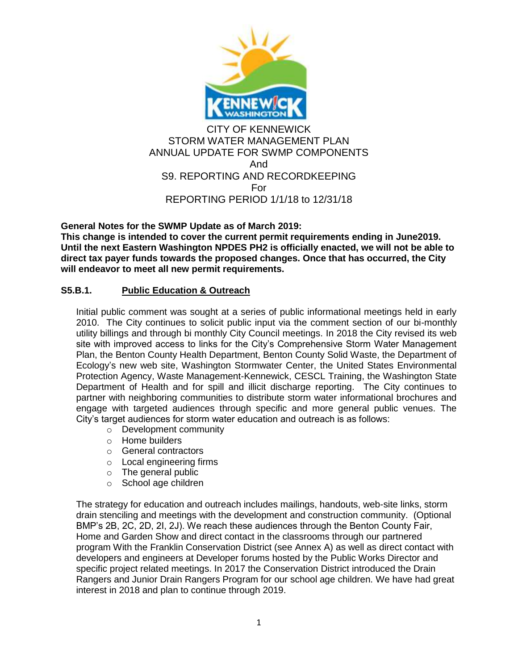

**General Notes for the SWMP Update as of March 2019: This change is intended to cover the current permit requirements ending in June2019. Until the next Eastern Washington NPDES PH2 is officially enacted, we will not be able to direct tax payer funds towards the proposed changes. Once that has occurred, the City will endeavor to meet all new permit requirements.**

### **S5.B.1. Public Education & Outreach**

Initial public comment was sought at a series of public informational meetings held in early 2010. The City continues to solicit public input via the comment section of our bi-monthly utility billings and through bi monthly City Council meetings. In 2018 the City revised its web site with improved access to links for the City's Comprehensive Storm Water Management Plan, the Benton County Health Department, Benton County Solid Waste, the Department of Ecology's new web site, Washington Stormwater Center, the United States Environmental Protection Agency, Waste Management-Kennewick, CESCL Training, the Washington State Department of Health and for spill and illicit discharge reporting. The City continues to partner with neighboring communities to distribute storm water informational brochures and engage with targeted audiences through specific and more general public venues. The City's target audiences for storm water education and outreach is as follows:

- o Development community
- o Home builders
- o General contractors
- o Local engineering firms
- o The general public
- o School age children

The strategy for education and outreach includes mailings, handouts, web-site links, storm drain stenciling and meetings with the development and construction community. (Optional BMP's 2B, 2C, 2D, 2I, 2J). We reach these audiences through the Benton County Fair, Home and Garden Show and direct contact in the classrooms through our partnered program With the Franklin Conservation District (see Annex A) as well as direct contact with developers and engineers at Developer forums hosted by the Public Works Director and specific project related meetings. In 2017 the Conservation District introduced the Drain Rangers and Junior Drain Rangers Program for our school age children. We have had great interest in 2018 and plan to continue through 2019.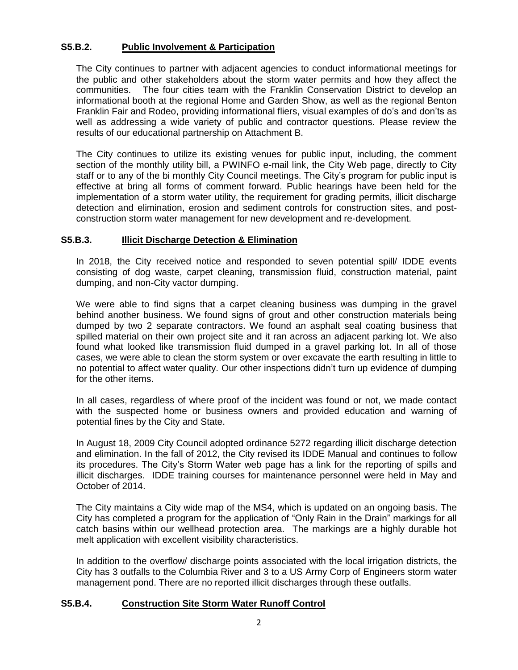### **S5.B.2. Public Involvement & Participation**

The City continues to partner with adjacent agencies to conduct informational meetings for the public and other stakeholders about the storm water permits and how they affect the communities. The four cities team with the Franklin Conservation District to develop an informational booth at the regional Home and Garden Show, as well as the regional Benton Franklin Fair and Rodeo, providing informational fliers, visual examples of do's and don'ts as well as addressing a wide variety of public and contractor questions. Please review the results of our educational partnership on Attachment B.

The City continues to utilize its existing venues for public input, including, the comment section of the monthly utility bill, a PWINFO e-mail link, the City Web page, directly to City staff or to any of the bi monthly City Council meetings. The City's program for public input is effective at bring all forms of comment forward. Public hearings have been held for the implementation of a storm water utility, the requirement for grading permits, illicit discharge detection and elimination, erosion and sediment controls for construction sites, and postconstruction storm water management for new development and re-development.

#### **S5.B.3. Illicit Discharge Detection & Elimination**

In 2018, the City received notice and responded to seven potential spill/ IDDE events consisting of dog waste, carpet cleaning, transmission fluid, construction material, paint dumping, and non-City vactor dumping.

We were able to find signs that a carpet cleaning business was dumping in the gravel behind another business. We found signs of grout and other construction materials being dumped by two 2 separate contractors. We found an asphalt seal coating business that spilled material on their own project site and it ran across an adjacent parking lot. We also found what looked like transmission fluid dumped in a gravel parking lot. In all of those cases, we were able to clean the storm system or over excavate the earth resulting in little to no potential to affect water quality. Our other inspections didn't turn up evidence of dumping for the other items.

In all cases, regardless of where proof of the incident was found or not, we made contact with the suspected home or business owners and provided education and warning of potential fines by the City and State.

In August 18, 2009 City Council adopted ordinance 5272 regarding illicit discharge detection and elimination. In the fall of 2012, the City revised its IDDE Manual and continues to follow its procedures. The City's Storm Water web page has a link for the reporting of spills and illicit discharges. IDDE training courses for maintenance personnel were held in May and October of 2014.

The City maintains a City wide map of the MS4, which is updated on an ongoing basis. The City has completed a program for the application of "Only Rain in the Drain" markings for all catch basins within our wellhead protection area. The markings are a highly durable hot melt application with excellent visibility characteristics.

In addition to the overflow/ discharge points associated with the local irrigation districts, the City has 3 outfalls to the Columbia River and 3 to a US Army Corp of Engineers storm water management pond. There are no reported illicit discharges through these outfalls.

#### **S5.B.4. Construction Site Storm Water Runoff Control**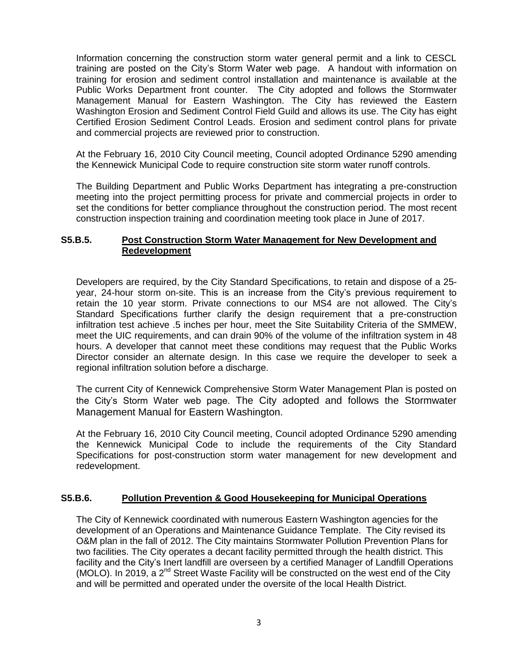Information concerning the construction storm water general permit and a link to CESCL training are posted on the City's Storm Water web page. A handout with information on training for erosion and sediment control installation and maintenance is available at the Public Works Department front counter. The City adopted and follows the Stormwater Management Manual for Eastern Washington. The City has reviewed the Eastern Washington Erosion and Sediment Control Field Guild and allows its use. The City has eight Certified Erosion Sediment Control Leads. Erosion and sediment control plans for private and commercial projects are reviewed prior to construction.

At the February 16, 2010 City Council meeting, Council adopted Ordinance 5290 amending the Kennewick Municipal Code to require construction site storm water runoff controls.

The Building Department and Public Works Department has integrating a pre-construction meeting into the project permitting process for private and commercial projects in order to set the conditions for better compliance throughout the construction period. The most recent construction inspection training and coordination meeting took place in June of 2017.

#### **S5.B.5. Post Construction Storm Water Management for New Development and Redevelopment**

Developers are required, by the City Standard Specifications, to retain and dispose of a 25 year, 24-hour storm on-site. This is an increase from the City's previous requirement to retain the 10 year storm. Private connections to our MS4 are not allowed. The City's Standard Specifications further clarify the design requirement that a pre-construction infiltration test achieve .5 inches per hour, meet the Site Suitability Criteria of the SMMEW, meet the UIC requirements, and can drain 90% of the volume of the infiltration system in 48 hours. A developer that cannot meet these conditions may request that the Public Works Director consider an alternate design. In this case we require the developer to seek a regional infiltration solution before a discharge.

The current City of Kennewick Comprehensive Storm Water Management Plan is posted on the City's Storm Water web page. The City adopted and follows the Stormwater Management Manual for Eastern Washington.

At the February 16, 2010 City Council meeting, Council adopted Ordinance 5290 amending the Kennewick Municipal Code to include the requirements of the City Standard Specifications for post-construction storm water management for new development and redevelopment.

#### **S5.B.6. Pollution Prevention & Good Housekeeping for Municipal Operations**

The City of Kennewick coordinated with numerous Eastern Washington agencies for the development of an Operations and Maintenance Guidance Template. The City revised its O&M plan in the fall of 2012. The City maintains Stormwater Pollution Prevention Plans for two facilities. The City operates a decant facility permitted through the health district. This facility and the City's Inert landfill are overseen by a certified Manager of Landfill Operations (MOLO). In 2019, a 2<sup>nd</sup> Street Waste Facility will be constructed on the west end of the City and will be permitted and operated under the oversite of the local Health District.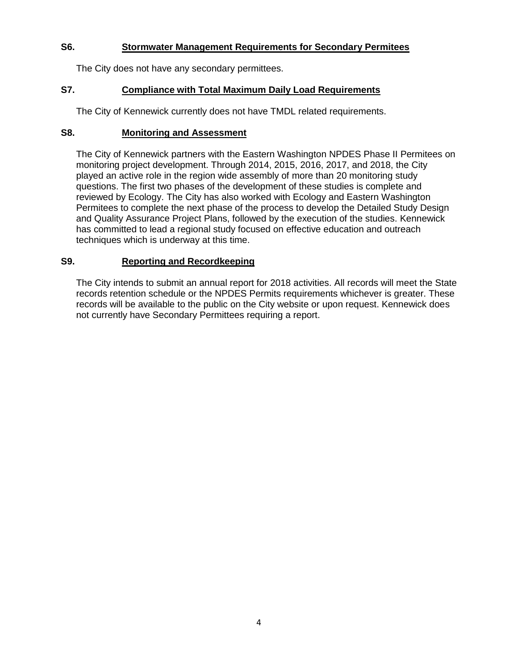#### **S6. Stormwater Management Requirements for Secondary Permitees**

The City does not have any secondary permittees.

#### **S7. Compliance with Total Maximum Daily Load Requirements**

The City of Kennewick currently does not have TMDL related requirements.

#### **S8. Monitoring and Assessment**

The City of Kennewick partners with the Eastern Washington NPDES Phase II Permitees on monitoring project development. Through 2014, 2015, 2016, 2017, and 2018, the City played an active role in the region wide assembly of more than 20 monitoring study questions. The first two phases of the development of these studies is complete and reviewed by Ecology. The City has also worked with Ecology and Eastern Washington Permitees to complete the next phase of the process to develop the Detailed Study Design and Quality Assurance Project Plans, followed by the execution of the studies. Kennewick has committed to lead a regional study focused on effective education and outreach techniques which is underway at this time.

#### **S9. Reporting and Recordkeeping**

The City intends to submit an annual report for 2018 activities. All records will meet the State records retention schedule or the NPDES Permits requirements whichever is greater. These records will be available to the public on the City website or upon request. Kennewick does not currently have Secondary Permittees requiring a report.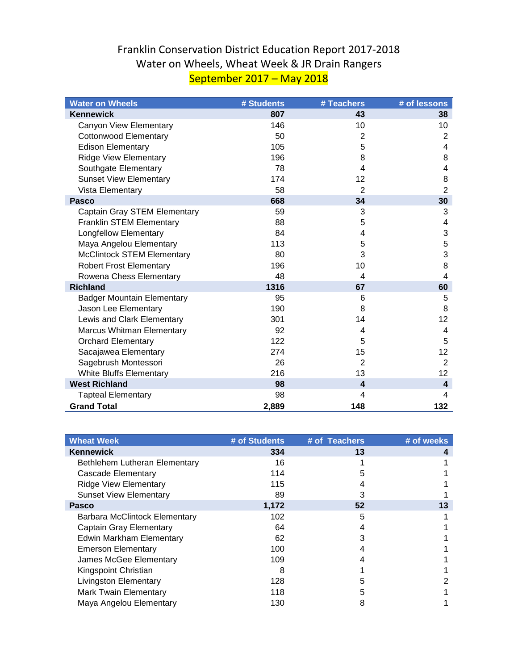## Franklin Conservation District Education Report 2017-2018 Water on Wheels, Wheat Week & JR Drain Rangers September 2017 – May 2018

| <b>Water on Wheels</b>            | # Students | # Teachers              | # of lessons              |
|-----------------------------------|------------|-------------------------|---------------------------|
| <b>Kennewick</b>                  | 807        | 43                      | 38                        |
| Canyon View Elementary            | 146        | 10                      | 10                        |
| <b>Cottonwood Elementary</b>      | 50         | $\overline{2}$          | $\overline{2}$            |
| <b>Edison Elementary</b>          | 105        | 5                       | 4                         |
| <b>Ridge View Elementary</b>      | 196        | 8                       | 8                         |
| Southgate Elementary              | 78         | 4                       | 4                         |
| <b>Sunset View Elementary</b>     | 174        | 12                      | 8                         |
| Vista Elementary                  | 58         | $\overline{2}$          | $\overline{2}$            |
| <b>Pasco</b>                      | 668        | 34                      | 30                        |
| Captain Gray STEM Elementary      | 59         | 3                       | 3                         |
| Franklin STEM Elementary          | 88         | 5                       | 4                         |
| <b>Longfellow Elementary</b>      | 84         | 4                       | $\ensuremath{\mathsf{3}}$ |
| Maya Angelou Elementary           | 113        | 5                       | 5                         |
| <b>McClintock STEM Elementary</b> | 80         | 3                       | 3                         |
| <b>Robert Frost Elementary</b>    | 196        | 10                      | 8                         |
| Rowena Chess Elementary           | 48         | 4                       | $\overline{4}$            |
| <b>Richland</b>                   | 1316       | 67                      | 60                        |
| <b>Badger Mountain Elementary</b> | 95         | 6                       | 5                         |
| Jason Lee Elementary              | 190        | 8                       | 8                         |
| Lewis and Clark Elementary        | 301        | 14                      | 12                        |
| Marcus Whitman Elementary         | 92         | 4                       | 4                         |
| <b>Orchard Elementary</b>         | 122        | 5                       | 5                         |
| Sacajawea Elementary              | 274        | 15                      | 12                        |
| Sagebrush Montessori              | 26         | $\overline{2}$          | $\overline{2}$            |
| <b>White Bluffs Elementary</b>    | 216        | 13                      | 12                        |
| <b>West Richland</b>              | 98         | $\overline{\mathbf{4}}$ | 4                         |
| <b>Tapteal Elementary</b>         | 98         | 4                       | 4                         |
| <b>Grand Total</b>                | 2,889      | 148                     | 132                       |

| <b>Wheat Week</b>             | # of Students | # of Teachers | # of weeks |
|-------------------------------|---------------|---------------|------------|
| <b>Kennewick</b>              | 334           | 13            |            |
| Bethlehem Lutheran Elementary | 16            |               |            |
| Cascade Elementary            | 114           | 5             |            |
| <b>Ridge View Elementary</b>  | 115           | 4             |            |
| <b>Sunset View Elementary</b> | 89            | 3             |            |
| <b>Pasco</b>                  | 1,172         | 52            | 13         |
| Barbara McClintock Elementary | 102           | 5             |            |
| Captain Gray Elementary       | 64            |               |            |
| Edwin Markham Elementary      | 62            | 3             |            |
| <b>Emerson Elementary</b>     | 100           | 4             |            |
| James McGee Elementary        | 109           |               |            |
| Kingspoint Christian          | 8             |               |            |
| <b>Livingston Elementary</b>  | 128           | 5             |            |
| <b>Mark Twain Elementary</b>  | 118           | 5             |            |
| Maya Angelou Elementary       | 130           | 8             |            |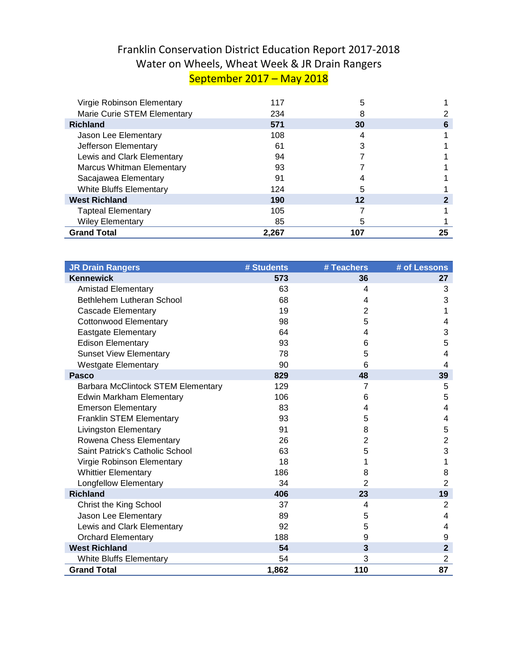## Franklin Conservation District Education Report 2017-2018 Water on Wheels, Wheat Week & JR Drain Rangers September 2017 – May 2018

| <b>Grand Total</b>               | 2,267 | 107 | 25 |
|----------------------------------|-------|-----|----|
| <b>Wiley Elementary</b>          | 85    | 5   |    |
| <b>Tapteal Elementary</b>        | 105   |     |    |
| <b>West Richland</b>             | 190   | 12  |    |
| <b>White Bluffs Elementary</b>   | 124   | 5   |    |
| Sacajawea Elementary             | 91    |     |    |
| <b>Marcus Whitman Elementary</b> | 93    |     |    |
| Lewis and Clark Elementary       | 94    |     |    |
| Jefferson Elementary             | 61    |     |    |
| Jason Lee Elementary             | 108   | 4   |    |
| <b>Richland</b>                  | 571   | 30  | 6  |
| Marie Curie STEM Elementary      | 234   |     |    |
| Virgie Robinson Elementary       | 117   | 5   |    |

| <b>JR Drain Rangers</b>            | # Students | # Teachers     | # of Lessons   |
|------------------------------------|------------|----------------|----------------|
| <b>Kennewick</b>                   | 573        | 36             | 27             |
| <b>Amistad Elementary</b>          | 63         | 4              | 3              |
| Bethlehem Lutheran School          | 68         | 4              | 3              |
| <b>Cascade Elementary</b>          | 19         | $\overline{2}$ | 1              |
| <b>Cottonwood Elementary</b>       | 98         | 5              | 4              |
| Eastgate Elementary                | 64         | 4              | 3              |
| <b>Edison Elementary</b>           | 93         | 6              | 5              |
| <b>Sunset View Elementary</b>      | 78         | 5              | 4              |
| <b>Westgate Elementary</b>         | 90         | 6              | 4              |
| <b>Pasco</b>                       | 829        | 48             | 39             |
| Barbara McClintock STEM Elementary | 129        | $\overline{7}$ | 5              |
| <b>Edwin Markham Elementary</b>    | 106        | 6              | 5              |
| <b>Emerson Elementary</b>          | 83         | 4              | 4              |
| Franklin STEM Elementary           | 93         | 5              | 4              |
| <b>Livingston Elementary</b>       | 91         | 8              | 5              |
| Rowena Chess Elementary            | 26         | $\overline{2}$ | $\overline{2}$ |
| Saint Patrick's Catholic School    | 63         | 5              | 3              |
| Virgie Robinson Elementary         | 18         | 1              | 1              |
| <b>Whittier Elementary</b>         | 186        | 8              | 8              |
| <b>Longfellow Elementary</b>       | 34         | 2              | $\overline{2}$ |
| <b>Richland</b>                    | 406        | 23             | 19             |
| Christ the King School             | 37         | 4              | $\overline{2}$ |
| Jason Lee Elementary               | 89         | 5              | 4              |
| Lewis and Clark Elementary         | 92         | 5              | 4              |
| <b>Orchard Elementary</b>          | 188        | 9              | 9              |
| <b>West Richland</b>               | 54         | 3              | $\mathbf{2}$   |
| <b>White Bluffs Elementary</b>     | 54         | 3              | $\overline{2}$ |
| <b>Grand Total</b>                 | 1,862      | 110            | 87             |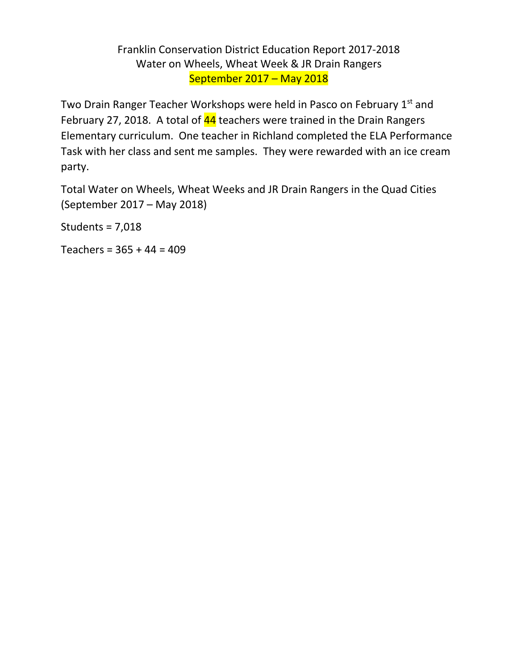## Franklin Conservation District Education Report 2017-2018 Water on Wheels, Wheat Week & JR Drain Rangers September 2017 – May 2018

Two Drain Ranger Teacher Workshops were held in Pasco on February 1<sup>st</sup> and February 27, 2018. A total of  $44$  teachers were trained in the Drain Rangers Elementary curriculum. One teacher in Richland completed the ELA Performance Task with her class and sent me samples. They were rewarded with an ice cream party.

Total Water on Wheels, Wheat Weeks and JR Drain Rangers in the Quad Cities (September 2017 – May 2018)

Students = 7,018

Teachers = 365 + 44 = 409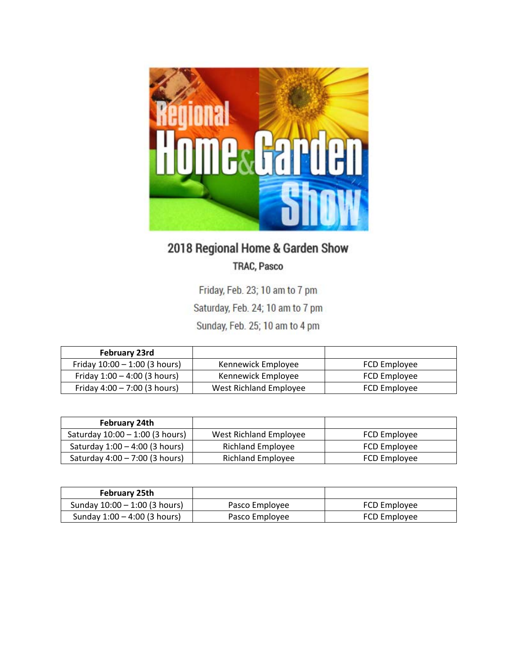

# 2018 Regional Home & Garden Show TRAC, Pasco

Friday, Feb. 23; 10 am to 7 pm Saturday, Feb. 24; 10 am to 7 pm

Sunday, Feb. 25; 10 am to 4 pm

| <b>February 23rd</b>            |                        |              |
|---------------------------------|------------------------|--------------|
| Friday $10:00 - 1:00$ (3 hours) | Kennewick Employee     | FCD Employee |
| Friday $1:00 - 4:00$ (3 hours)  | Kennewick Employee     | FCD Employee |
| Friday $4:00 - 7:00$ (3 hours)  | West Richland Employee | FCD Employee |

| February 24th                     |                        |              |
|-----------------------------------|------------------------|--------------|
| Saturday $10:00 - 1:00$ (3 hours) | West Richland Employee | FCD Employee |
| Saturday $1:00 - 4:00$ (3 hours)  | Richland Employee      | FCD Employee |
| Saturday 4:00 - 7:00 (3 hours)    | Richland Employee      | FCD Employee |

| February 25th                   |                |              |
|---------------------------------|----------------|--------------|
| Sunday $10:00 - 1:00$ (3 hours) | Pasco Employee | FCD Employee |
| Sunday $1:00 - 4:00$ (3 hours)  | Pasco Employee | FCD Employee |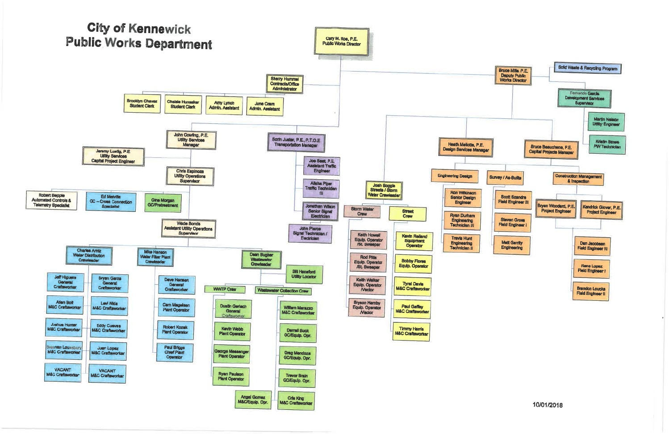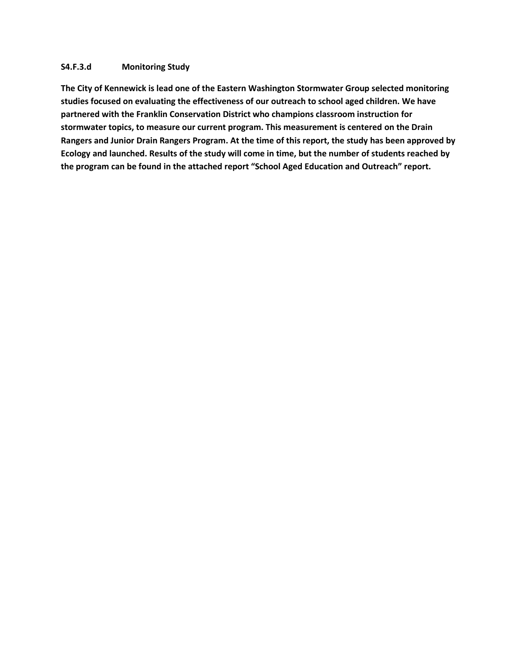#### **S4.F.3.d Monitoring Study**

**The City of Kennewick is lead one of the Eastern Washington Stormwater Group selected monitoring studies focused on evaluating the effectiveness of our outreach to school aged children. We have partnered with the Franklin Conservation District who champions classroom instruction for stormwater topics, to measure our current program. This measurement is centered on the Drain Rangers and Junior Drain Rangers Program. At the time of this report, the study has been approved by Ecology and launched. Results of the study will come in time, but the number of students reached by the program can be found in the attached report "School Aged Education and Outreach" report.**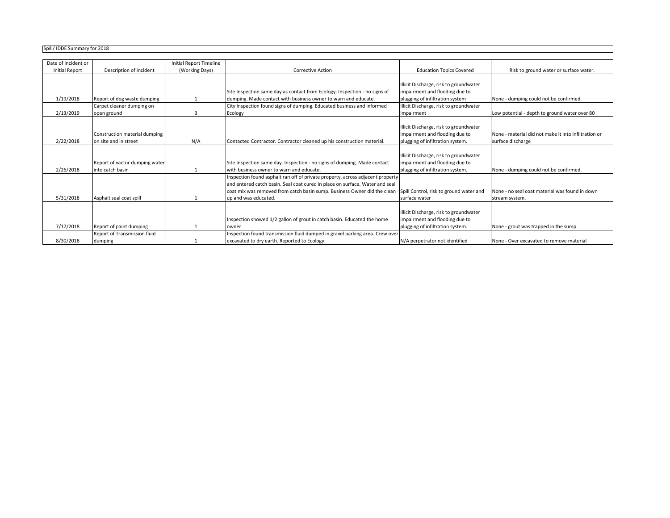## Spill/ IDDE Summary for 2018

| סבטא וטו y וויוסכן אוווווומו טענען |                                |                                |                                                                                |                                         |                                                      |
|------------------------------------|--------------------------------|--------------------------------|--------------------------------------------------------------------------------|-----------------------------------------|------------------------------------------------------|
|                                    |                                |                                |                                                                                |                                         |                                                      |
| Date of Incident or                |                                | <b>Initial Report Timeline</b> |                                                                                |                                         |                                                      |
| <b>Initial Report</b>              | Description of Incident        | (Working Days)                 | <b>Corrective Action</b>                                                       | <b>Education Topics Covered</b>         | Risk to ground water or surface water.               |
|                                    |                                |                                |                                                                                |                                         |                                                      |
|                                    |                                |                                |                                                                                | Illicit Discharge, risk to groundwater  |                                                      |
|                                    |                                |                                | Site Inspection same day as contact from Ecology. Inspection - no signs of     | impairment and flooding due to          |                                                      |
| 1/19/2018                          | Report of dog waste dumping    |                                | dumping. Made contact with business owner to warn and educate.                 | plugging of infiltration system         | None - dumping could not be confirmed.               |
|                                    | Carpet cleaner dumping on      |                                | City Inspection found signs of dumping. Educated business and informed         | Illicit Discharge, risk to groundwater  |                                                      |
| 2/13/2019                          | open ground                    | 3                              | Ecology                                                                        | impairment                              | Low potential - depth to ground water over 80        |
|                                    |                                |                                |                                                                                |                                         |                                                      |
|                                    |                                |                                |                                                                                | Illicit Discharge, risk to groundwater  |                                                      |
|                                    | Construction material dumping  |                                |                                                                                | impairment and flooding due to          | None - material did not make it into infiltration or |
| 2/22/2018                          | on site and in street          | N/A                            | Contacted Contractor. Contractor cleaned up his construction material.         | plugging of infiltration system.        | surface discharge                                    |
|                                    |                                |                                |                                                                                |                                         |                                                      |
|                                    |                                |                                |                                                                                | Illicit Discharge, risk to groundwater  |                                                      |
|                                    | Report of vactor dumping water |                                | Site Inspection same day. Inspection - no signs of dumping. Made contact       | impairment and flooding due to          |                                                      |
| 2/26/2018                          | into catch basin               |                                | with business owner to warn and educate.                                       | plugging of infiltration system.        | None - dumping could not be confirmed.               |
|                                    |                                |                                | Inspection found asphalt ran off of private property, across adjacent property |                                         |                                                      |
|                                    |                                |                                | and entered catch basin. Seal coat cured in place on surface. Water and seal   |                                         |                                                      |
|                                    |                                |                                | coat mix was removed from catch basin sump. Business Owner did the clean       | Spill Control, risk to ground water and | None - no seal coat material was found in down       |
| 5/31/2018                          | Asphalt seal coat spill        |                                | up and was educated.                                                           | surface water                           | stream system.                                       |
|                                    |                                |                                |                                                                                |                                         |                                                      |
|                                    |                                |                                |                                                                                | Illicit Discharge, risk to groundwater  |                                                      |
|                                    |                                |                                | Inspection showed 1/2 gallon of grout in catch basin. Educated the home        | impairment and flooding due to          |                                                      |
| 7/17/2018                          | Report of paint dumping        |                                | owner.                                                                         | plugging of infiltration system.        | None - grout was trapped in the sump                 |
|                                    | Report of Transmission fluid   |                                | Inspection found transmission fluid dumped in gravel parking area. Crew over   |                                         |                                                      |
| 8/30/2018                          | dumping                        |                                | excavated to dry earth. Reported to Ecology                                    | N/A perpetrator not identified          | None - Over excavated to remove material             |